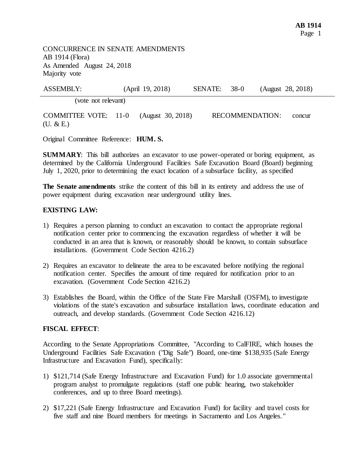AB 1914 (Flora) As Amended August 24, 2018 Majority vote CONCURRENCE IN SENATE AMENDMENTS

| <b>ASSEMBLY:</b>                         | (April 19, 2018)  | SENATE: 38-0 |                 | (August 28, 2018) |
|------------------------------------------|-------------------|--------------|-----------------|-------------------|
| (vote not relevant)                      |                   |              |                 |                   |
| <b>COMMITTEE VOTE: 11-0</b><br>(U. & E.) | (August 30, 2018) |              | RECOMMENDATION: | concur            |

Original Committee Reference: **HUM. S.** 

 **SUMMARY**: This bill authorizes an excavator to use power-operated or boring equipment, as determined by the California Underground Facilities Safe Excavation Board (Board) beginning July 1, 2020, prior to determining the exact location of a subsurface facility, as specified

The Senate amendments strike the content of this bill in its entirety and address the use of power equipment during excavation near underground utility lines.

## **EXISTING LAW:**

- 1) Requires a person planning to conduct an excavation to contact the appropriate regional notification center prior to commencing the excavation regardless of whether it will be conducted in an area that is known, or reasonably should be known, to contain subsurface installations. (Government Code Section 4216.2)
- 2) Requires an excavator to delineate the area to be excavated before notifying the regional notification center. Specifies the amount of time required for notification prior to an excavation. (Government Code Section 4216.2)
- 3) Establishes the Board, within the Office of the State Fire Marshall (OSFM), to investigate violations of the state's excavation and subsurface installation laws, coordinate education and outreach, and develop standards. (Government Code Section 4216.12)

## **FISCAL EFFECT**:

 According to the Senate Appropriations Committee, "According to CalFIRE, which houses the Underground Facilities Safe Excavation ("Dig Safe") Board, one-time \$138,935 (Safe Energy Infrastructure and Excavation Fund), specifically:

- 1) \$121,714 (Safe Energy Infrastructure and Excavation Fund) for 1.0 associate governmental program analyst to promulgate regulations (staff one public hearing, two stakeholder conferences, and up to three Board meetings).
- 2) \$17,221 (Safe Energy Infrastructure and Excavation Fund) for facility and travel costs for five staff and nine Board members for meetings in Sacramento and Los Angeles. "